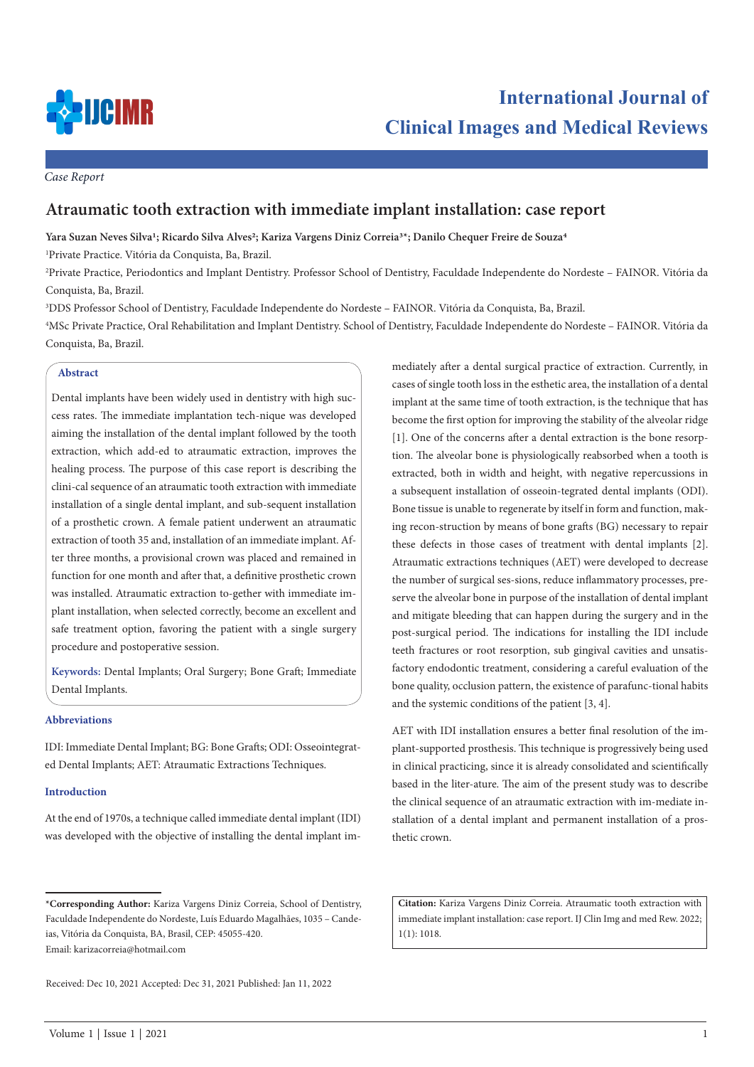

*Case Report*

# **Atraumatic tooth extraction with immediate implant installation: case report**

**Yara Suzan Neves Silva1; Ricardo Silva Alves2; Kariza Vargens Diniz Correia3\*; Danilo Chequer Freire de Souza4**

1 Private Practice. Vitória da Conquista, Ba, Brazil.

2 Private Practice, Periodontics and Implant Dentistry. Professor School of Dentistry, Faculdade Independente do Nordeste – FAINOR. Vitória da Conquista, Ba, Brazil.

3 DDS Professor School of Dentistry, Faculdade Independente do Nordeste – FAINOR. Vitória da Conquista, Ba, Brazil.

4 MSc Private Practice, Oral Rehabilitation and Implant Dentistry. School of Dentistry, Faculdade Independente do Nordeste – FAINOR. Vitória da Conquista, Ba, Brazil.

## **Abstract**

Dental implants have been widely used in dentistry with high success rates. The immediate implantation tech-nique was developed aiming the installation of the dental implant followed by the tooth extraction, which add-ed to atraumatic extraction, improves the healing process. The purpose of this case report is describing the clini-cal sequence of an atraumatic tooth extraction with immediate installation of a single dental implant, and sub-sequent installation of a prosthetic crown. A female patient underwent an atraumatic extraction of tooth 35 and, installation of an immediate implant. After three months, a provisional crown was placed and remained in function for one month and after that, a definitive prosthetic crown was installed. Atraumatic extraction to-gether with immediate implant installation, when selected correctly, become an excellent and safe treatment option, favoring the patient with a single surgery procedure and postoperative session.

**Keywords:** Dental Implants; Oral Surgery; Bone Graft; Immediate Dental Implants.

# **Abbreviations**

IDI: Immediate Dental Implant; BG: Bone Grafts; ODI: Osseointegrated Dental Implants; AET: Atraumatic Extractions Techniques.

## **Introduction**

At the end of 1970s, a technique called immediate dental implant (IDI) was developed with the objective of installing the dental implant immediately after a dental surgical practice of extraction. Currently, in cases of single tooth loss in the esthetic area, the installation of a dental implant at the same time of tooth extraction, is the technique that has become the first option for improving the stability of the alveolar ridge [1]. One of the concerns after a dental extraction is the bone resorption. The alveolar bone is physiologically reabsorbed when a tooth is extracted, both in width and height, with negative repercussions in a subsequent installation of osseoin-tegrated dental implants (ODI). Bone tissue is unable to regenerate by itself in form and function, making recon-struction by means of bone grafts (BG) necessary to repair these defects in those cases of treatment with dental implants [2]. Atraumatic extractions techniques (AET) were developed to decrease the number of surgical ses-sions, reduce inflammatory processes, preserve the alveolar bone in purpose of the installation of dental implant and mitigate bleeding that can happen during the surgery and in the post-surgical period. The indications for installing the IDI include teeth fractures or root resorption, sub gingival cavities and unsatisfactory endodontic treatment, considering a careful evaluation of the bone quality, occlusion pattern, the existence of parafunc-tional habits and the systemic conditions of the patient [3, 4].

AET with IDI installation ensures a better final resolution of the implant-supported prosthesis. This technique is progressively being used in clinical practicing, since it is already consolidated and scientifically based in the liter-ature. The aim of the present study was to describe the clinical sequence of an atraumatic extraction with im-mediate installation of a dental implant and permanent installation of a prosthetic crown.

**Citation:** Kariza Vargens Diniz Correia. Atraumatic tooth extraction with immediate implant installation: case report. IJ Clin Img and med Rew. 2022; 1(1): 1018.

**<sup>\*</sup>Corresponding Author:** Kariza Vargens Diniz Correia, School of Dentistry, Faculdade Independente do Nordeste, Luís Eduardo Magalhães, 1035 – Candeias, Vitória da Conquista, BA, Brasil, CEP: 45055-420. Email: karizacorreia@hotmail.com

Received: Dec 10, 2021 Accepted: Dec 31, 2021 Published: Jan 11, 2022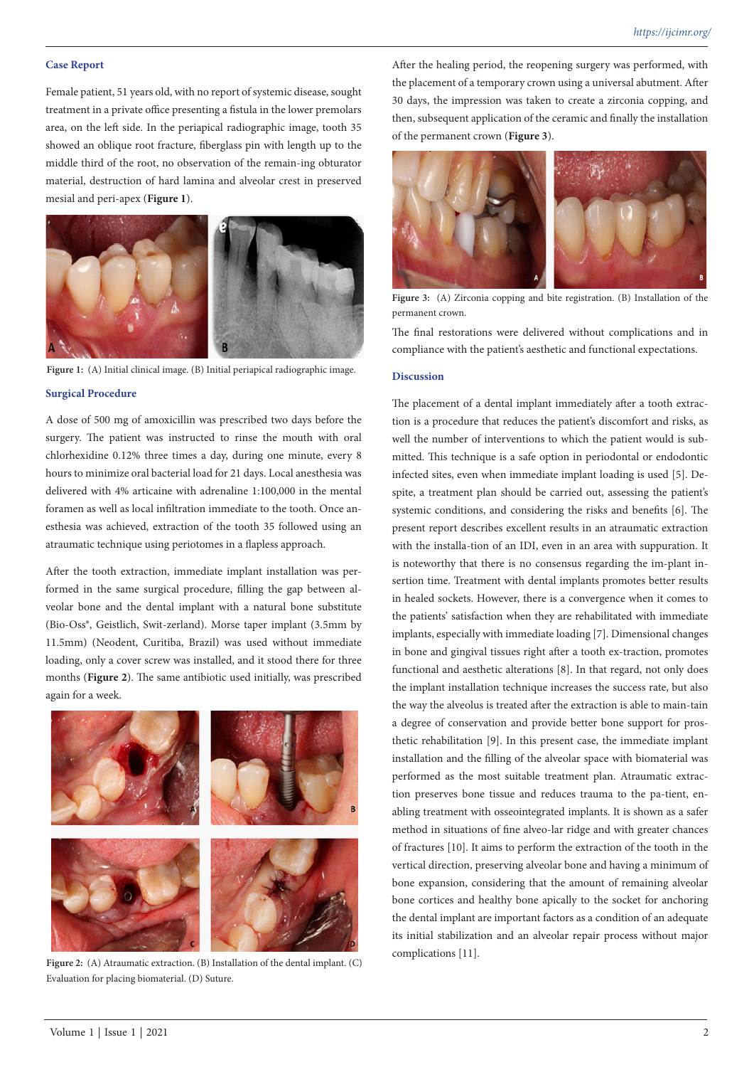# **Case Report**

Female patient, 51 years old, with no report of systemic disease, sought treatment in a private office presenting a fistula in the lower premolars area, on the left side. In the periapical radiographic image, tooth 35 showed an oblique root fracture, fiberglass pin with length up to the middle third of the root, no observation of the remain-ing obturator material, destruction of hard lamina and alveolar crest in preserved mesial and peri-apex (**Figure 1**).





#### **Surgical Procedure**

A dose of 500 mg of amoxicillin was prescribed two days before the surgery. The patient was instructed to rinse the mouth with oral chlorhexidine 0.12% three times a day, during one minute, every 8 hours to minimize oral bacterial load for 21 days. Local anesthesia was delivered with 4% articaine with adrenaline 1:100,000 in the mental foramen as well as local infiltration immediate to the tooth. Once anesthesia was achieved, extraction of the tooth 35 followed using an atraumatic technique using periotomes in a flapless approach.

After the tooth extraction, immediate implant installation was performed in the same surgical procedure, filling the gap between alveolar bone and the dental implant with a natural bone substitute (Bio-Oss®, Geistlich, Swit-zerland). Morse taper implant (3.5mm by 11.5mm) (Neodent, Curitiba, Brazil) was used without immediate loading, only a cover screw was installed, and it stood there for three months (**Figure 2**). The same antibiotic used initially, was prescribed again for a week.



**Figure 2:** (A) Atraumatic extraction. (B) Installation of the dental implant. (C) Evaluation for placing biomaterial. (D) Suture.

After the healing period, the reopening surgery was performed, with the placement of a temporary crown using a universal abutment. After 30 days, the impression was taken to create a zirconia copping, and then, subsequent application of the ceramic and finally the installation of the permanent crown (**Figure 3**).



**Figure 3:** (A) Zirconia copping and bite registration. (B) Installation of the permanent crown.

The final restorations were delivered without complications and in compliance with the patient's aesthetic and functional expectations.

#### **Discussion**

The placement of a dental implant immediately after a tooth extraction is a procedure that reduces the patient's discomfort and risks, as well the number of interventions to which the patient would is submitted. This technique is a safe option in periodontal or endodontic infected sites, even when immediate implant loading is used [5]. Despite, a treatment plan should be carried out, assessing the patient's systemic conditions, and considering the risks and benefits [6]. The present report describes excellent results in an atraumatic extraction with the installa-tion of an IDI, even in an area with suppuration. It is noteworthy that there is no consensus regarding the im-plant insertion time. Treatment with dental implants promotes better results in healed sockets. However, there is a convergence when it comes to the patients' satisfaction when they are rehabilitated with immediate implants, especially with immediate loading [7]. Dimensional changes in bone and gingival tissues right after a tooth ex-traction, promotes functional and aesthetic alterations [8]. In that regard, not only does the implant installation technique increases the success rate, but also the way the alveolus is treated after the extraction is able to main-tain a degree of conservation and provide better bone support for prosthetic rehabilitation [9]. In this present case, the immediate implant installation and the filling of the alveolar space with biomaterial was performed as the most suitable treatment plan. Atraumatic extraction preserves bone tissue and reduces trauma to the pa-tient, enabling treatment with osseointegrated implants. It is shown as a safer method in situations of fine alveo-lar ridge and with greater chances of fractures [10]. It aims to perform the extraction of the tooth in the vertical direction, preserving alveolar bone and having a minimum of bone expansion, considering that the amount of remaining alveolar bone cortices and healthy bone apically to the socket for anchoring the dental implant are important factors as a condition of an adequate its initial stabilization and an alveolar repair process without major complications [11].